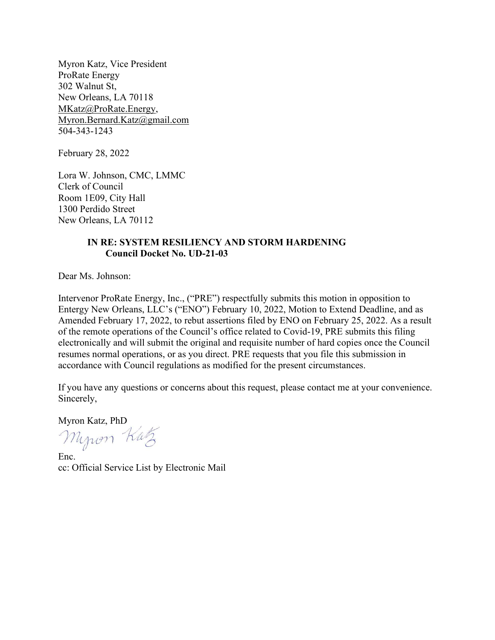Myron Katz, Vice President ProRate Energy 302 Walnut St, New Orleans, LA 70118 MKatz@ProRate.Energy, Myron.Bernard.Katz@gmail.com 504-343-1243

February 28, 2022

Lora W. Johnson, CMC, LMMC Clerk of Council Room 1E09, City Hall 1300 Perdido Street New Orleans, LA 70112

## IN RE: SYSTEM RESILIENCY AND STORM HARDENING Council Docket No. UD-21-03

Dear Ms. Johnson:

Intervenor ProRate Energy, Inc., ("PRE") respectfully submits this motion in opposition to Entergy New Orleans, LLC's ("ENO") February 10, 2022, Motion to Extend Deadline, and as Amended February 17, 2022, to rebut assertions filed by ENO on February 25, 2022. As a result of the remote operations of the Council's office related to Covid-19, PRE submits this filing electronically and will submit the original and requisite number of hard copies once the Council resumes normal operations, or as you direct. PRE requests that you file this submission in accordance with Council regulations as modified for the present circumstances.

If you have any questions or concerns about this request, please contact me at your convenience. Sincerely,

Myron Kutz

Enc. cc: Official Service List by Electronic Mail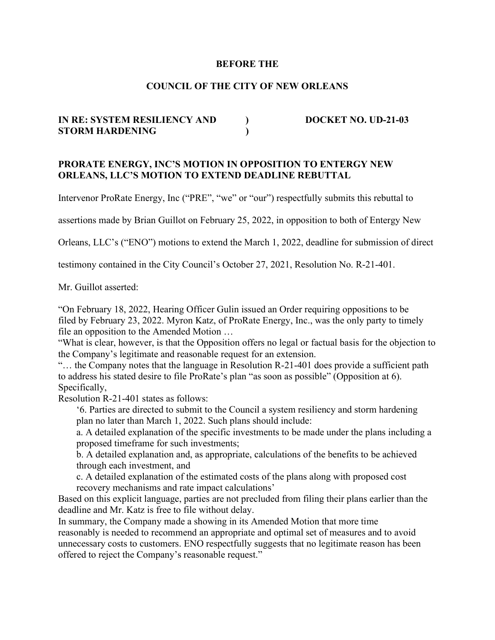#### BEFORE THE

## COUNCIL OF THE CITY OF NEW ORLEANS

# IN RE: SYSTEM RESILIENCY AND DOCKET NO. UD-21-03 STORM HARDENING (1998)

#### PRORATE ENERGY, INC'S MOTION IN OPPOSITION TO ENTERGY NEW ORLEANS, LLC'S MOTION TO EXTEND DEADLINE REBUTTAL

Intervenor ProRate Energy, Inc ("PRE", "we" or "our") respectfully submits this rebuttal to

assertions made by Brian Guillot on February 25, 2022, in opposition to both of Entergy New

Orleans, LLC's ("ENO") motions to extend the March 1, 2022, deadline for submission of direct

testimony contained in the City Council's October 27, 2021, Resolution No. R-21-401.

Mr. Guillot asserted:

"On February 18, 2022, Hearing Officer Gulin issued an Order requiring oppositions to be filed by February 23, 2022. Myron Katz, of ProRate Energy, Inc., was the only party to timely file an opposition to the Amended Motion …

"What is clear, however, is that the Opposition offers no legal or factual basis for the objection to the Company's legitimate and reasonable request for an extension.

"… the Company notes that the language in Resolution R-21-401 does provide a sufficient path to address his stated desire to file ProRate's plan "as soon as possible" (Opposition at 6). Specifically,

Resolution R-21-401 states as follows:

'6. Parties are directed to submit to the Council a system resiliency and storm hardening plan no later than March 1, 2022. Such plans should include:

a. A detailed explanation of the specific investments to be made under the plans including a proposed timeframe for such investments;

b. A detailed explanation and, as appropriate, calculations of the benefits to be achieved through each investment, and

c. A detailed explanation of the estimated costs of the plans along with proposed cost recovery mechanisms and rate impact calculations'

Based on this explicit language, parties are not precluded from filing their plans earlier than the deadline and Mr. Katz is free to file without delay.

In summary, the Company made a showing in its Amended Motion that more time reasonably is needed to recommend an appropriate and optimal set of measures and to avoid unnecessary costs to customers. ENO respectfully suggests that no legitimate reason has been offered to reject the Company's reasonable request."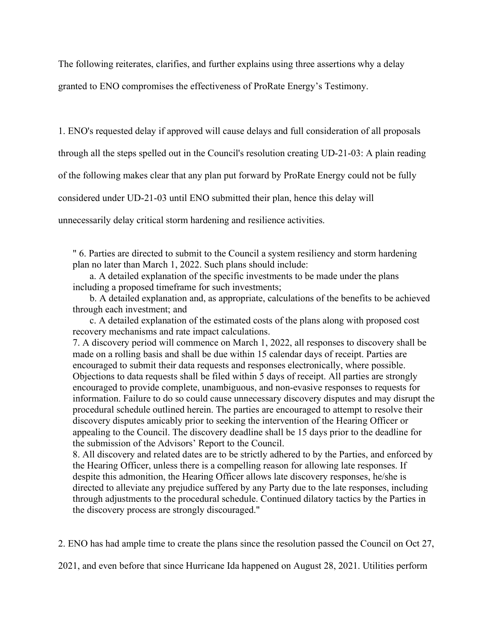The following reiterates, clarifies, and further explains using three assertions why a delay

granted to ENO compromises the effectiveness of ProRate Energy's Testimony.

1. ENO's requested delay if approved will cause delays and full consideration of all proposals through all the steps spelled out in the Council's resolution creating UD-21-03: A plain reading of the following makes clear that any plan put forward by ProRate Energy could not be fully considered under UD-21-03 until ENO submitted their plan, hence this delay will unnecessarily delay critical storm hardening and resilience activities.

" 6. Parties are directed to submit to the Council a system resiliency and storm hardening plan no later than March 1, 2022. Such plans should include:

 a. A detailed explanation of the specific investments to be made under the plans including a proposed timeframe for such investments;

 b. A detailed explanation and, as appropriate, calculations of the benefits to be achieved through each investment; and

 c. A detailed explanation of the estimated costs of the plans along with proposed cost recovery mechanisms and rate impact calculations.

7. A discovery period will commence on March 1, 2022, all responses to discovery shall be made on a rolling basis and shall be due within 15 calendar days of receipt. Parties are encouraged to submit their data requests and responses electronically, where possible. Objections to data requests shall be filed within 5 days of receipt. All parties are strongly encouraged to provide complete, unambiguous, and non-evasive responses to requests for information. Failure to do so could cause unnecessary discovery disputes and may disrupt the procedural schedule outlined herein. The parties are encouraged to attempt to resolve their discovery disputes amicably prior to seeking the intervention of the Hearing Officer or appealing to the Council. The discovery deadline shall be 15 days prior to the deadline for the submission of the Advisors' Report to the Council.

8. All discovery and related dates are to be strictly adhered to by the Parties, and enforced by the Hearing Officer, unless there is a compelling reason for allowing late responses. If despite this admonition, the Hearing Officer allows late discovery responses, he/she is directed to alleviate any prejudice suffered by any Party due to the late responses, including through adjustments to the procedural schedule. Continued dilatory tactics by the Parties in the discovery process are strongly discouraged."

2. ENO has had ample time to create the plans since the resolution passed the Council on Oct 27,

2021, and even before that since Hurricane Ida happened on August 28, 2021. Utilities perform